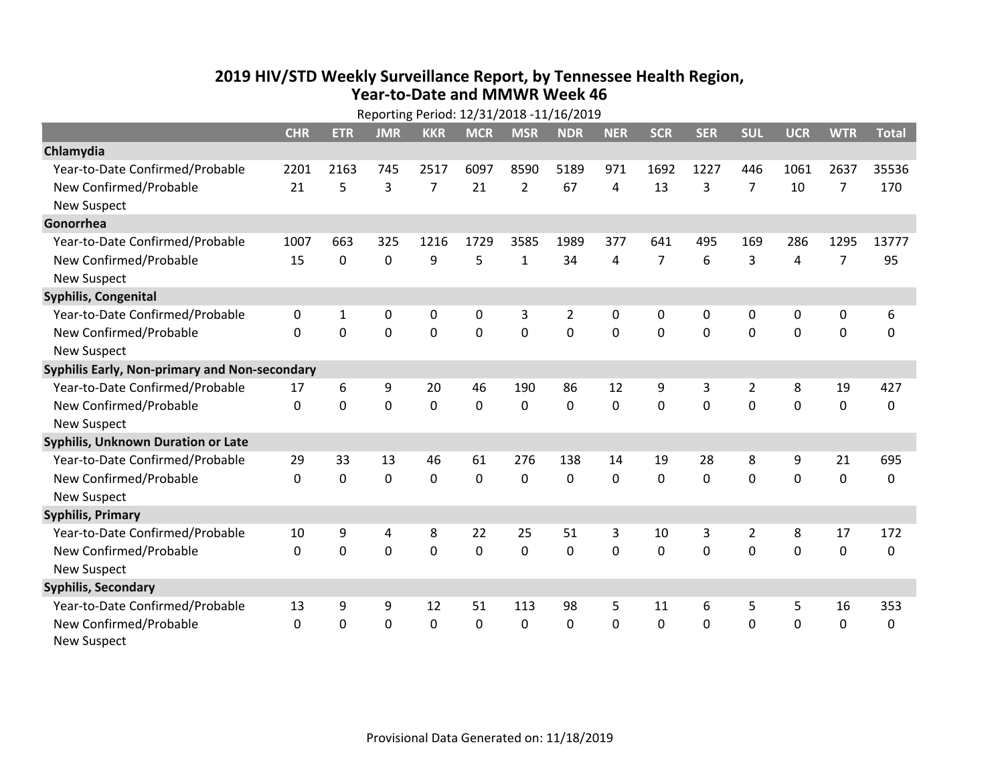## **2019 HIV /STD Weekly Surveillance Report, by Tennessee Health Region, Year‐to‐Date and MMWR Week 46** Reporting Period: 12/31/2018 ‐11/16/2019

| Reporting Period: 12/31/2018 -11/16/2019      |              |             |             |                |             |                |                |             |                |            |                |            |                |              |
|-----------------------------------------------|--------------|-------------|-------------|----------------|-------------|----------------|----------------|-------------|----------------|------------|----------------|------------|----------------|--------------|
|                                               | <b>CHR</b>   | <b>ETR</b>  | <b>JMR</b>  | <b>KKR</b>     | <b>MCR</b>  | <b>MSR</b>     | <b>NDR</b>     | <b>NER</b>  | <b>SCR</b>     | <b>SER</b> | <b>SUL</b>     | <b>UCR</b> | <b>WTR</b>     | <b>Total</b> |
| Chlamydia                                     |              |             |             |                |             |                |                |             |                |            |                |            |                |              |
| Year-to-Date Confirmed/Probable               | 2201         | 2163        | 745         | 2517           | 6097        | 8590           | 5189           | 971         | 1692           | 1227       | 446            | 1061       | 2637           | 35536        |
| New Confirmed/Probable                        | 21           | 5           | 3           | $\overline{7}$ | 21          | $\overline{2}$ | 67             | 4           | 13             | 3          | 7              | 10         | 7              | 170          |
| <b>New Suspect</b>                            |              |             |             |                |             |                |                |             |                |            |                |            |                |              |
| Gonorrhea                                     |              |             |             |                |             |                |                |             |                |            |                |            |                |              |
| Year-to-Date Confirmed/Probable               | 1007         | 663         | 325         | 1216           | 1729        | 3585           | 1989           | 377         | 641            | 495        | 169            | 286        | 1295           | 13777        |
| New Confirmed/Probable                        | 15           | $\mathbf 0$ | $\mathbf 0$ | 9              | 5           | $\mathbf{1}$   | 34             | 4           | $\overline{7}$ | 6          | 3              | 4          | $\overline{7}$ | 95           |
| <b>New Suspect</b>                            |              |             |             |                |             |                |                |             |                |            |                |            |                |              |
| <b>Syphilis, Congenital</b>                   |              |             |             |                |             |                |                |             |                |            |                |            |                |              |
| Year-to-Date Confirmed/Probable               | 0            | 1           | 0           | 0              | $\mathbf 0$ | 3              | $\overline{2}$ | 0           | 0              | 0          | 0              | 0          | 0              | 6            |
| New Confirmed/Probable                        | $\mathbf{0}$ | 0           | 0           | 0              | $\mathbf 0$ | $\overline{0}$ | 0              | $\mathbf 0$ | $\mathbf{0}$   | 0          | 0              | 0          | $\mathbf 0$    | $\Omega$     |
| <b>New Suspect</b>                            |              |             |             |                |             |                |                |             |                |            |                |            |                |              |
| Syphilis Early, Non-primary and Non-secondary |              |             |             |                |             |                |                |             |                |            |                |            |                |              |
| Year-to-Date Confirmed/Probable               | 17           | 6           | 9           | 20             | 46          | 190            | 86             | 12          | 9              | 3          | 2              | 8          | 19             | 427          |
| New Confirmed/Probable                        | $\Omega$     | 0           | 0           | 0              | $\mathbf 0$ | $\mathbf 0$    | $\Omega$       | $\Omega$    | $\Omega$       | $\Omega$   | $\Omega$       | $\Omega$   | $\mathbf 0$    | 0            |
| <b>New Suspect</b>                            |              |             |             |                |             |                |                |             |                |            |                |            |                |              |
| Syphilis, Unknown Duration or Late            |              |             |             |                |             |                |                |             |                |            |                |            |                |              |
| Year-to-Date Confirmed/Probable               | 29           | 33          | 13          | 46             | 61          | 276            | 138            | 14          | 19             | 28         | 8              | 9          | 21             | 695          |
| New Confirmed/Probable                        | $\Omega$     | $\mathbf 0$ | 0           | 0              | $\mathbf 0$ | 0              | $\Omega$       | $\Omega$    | $\Omega$       | $\Omega$   | $\Omega$       | 0          | $\mathbf 0$    | 0            |
| <b>New Suspect</b>                            |              |             |             |                |             |                |                |             |                |            |                |            |                |              |
| <b>Syphilis, Primary</b>                      |              |             |             |                |             |                |                |             |                |            |                |            |                |              |
| Year-to-Date Confirmed/Probable               | 10           | 9           | 4           | 8              | 22          | 25             | 51             | 3           | 10             | 3          | $\overline{2}$ | 8          | 17             | 172          |
| New Confirmed/Probable                        | $\Omega$     | 0           | 0           | 0              | $\mathbf 0$ | 0              | 0              | $\Omega$    | $\Omega$       | 0          | $\Omega$       | $\Omega$   | $\mathbf{0}$   | 0            |
| <b>New Suspect</b>                            |              |             |             |                |             |                |                |             |                |            |                |            |                |              |
| <b>Syphilis, Secondary</b>                    |              |             |             |                |             |                |                |             |                |            |                |            |                |              |
| Year-to-Date Confirmed/Probable               | 13           | 9           | 9           | 12             | 51          | 113            | 98             | 5           | 11             | 6          | 5              | 5          | 16             | 353          |
| New Confirmed/Probable                        | 0            | 0           | 0           | 0              | $\mathbf 0$ | 0              | 0              | $\Omega$    | $\mathbf{0}$   | 0          | 0              | 0          | $\mathbf 0$    | 0            |
| <b>New Suspect</b>                            |              |             |             |                |             |                |                |             |                |            |                |            |                |              |